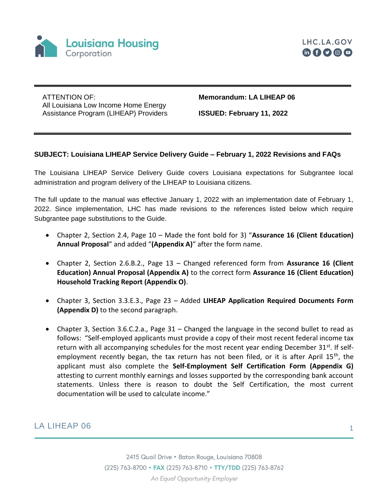



ATTENTION OF: All Louisiana Low Income Home Energy Assistance Program (LIHEAP) Providers **Memorandum: LA LIHEAP 06** 

**ISSUED: February 11, 2022**

## **SUBJECT: Louisiana LIHEAP Service Delivery Guide – February 1, 2022 Revisions and FAQs**

The Louisiana LIHEAP Service Delivery Guide covers Louisiana expectations for Subgrantee local administration and program delivery of the LIHEAP to Louisiana citizens.

The full update to the manual was effective January 1, 2022 with an implementation date of February 1, 2022. Since implementation, LHC has made revisions to the references listed below which require Subgrantee page substitutions to the Guide.

- Chapter 2, Section 2.4, Page 10 Made the font bold for 3) "**Assurance 16 (Client Education) Annual Proposal**" and added "**(Appendix A)**" after the form name.
- Chapter 2, Section 2.6.B.2., Page 13 Changed referenced form from **Assurance 16 (Client Education) Annual Proposal (Appendix A)** to the correct form **Assurance 16 (Client Education) Household Tracking Report (Appendix O)**.
- Chapter 3, Section 3.3.E.3., Page 23 Added **LIHEAP Application Required Documents Form (Appendix D)** to the second paragraph.
- Chapter 3, Section 3.6.C.2.a., Page 31 Changed the language in the second bullet to read as follows: "Self-employed applicants must provide a copy of their most recent federal income tax return with all accompanying schedules for the most recent year ending December  $31^{st}$ . If selfemployment recently began, the tax return has not been filed, or it is after April 15<sup>th</sup>, the applicant must also complete the **Self-Employment Self Certification Form (Appendix G)**  attesting to current monthly earnings and losses supported by the corresponding bank account statements. Unless there is reason to doubt the Self Certification, the most current documentation will be used to calculate income."

## LA LIHEAP 06 1